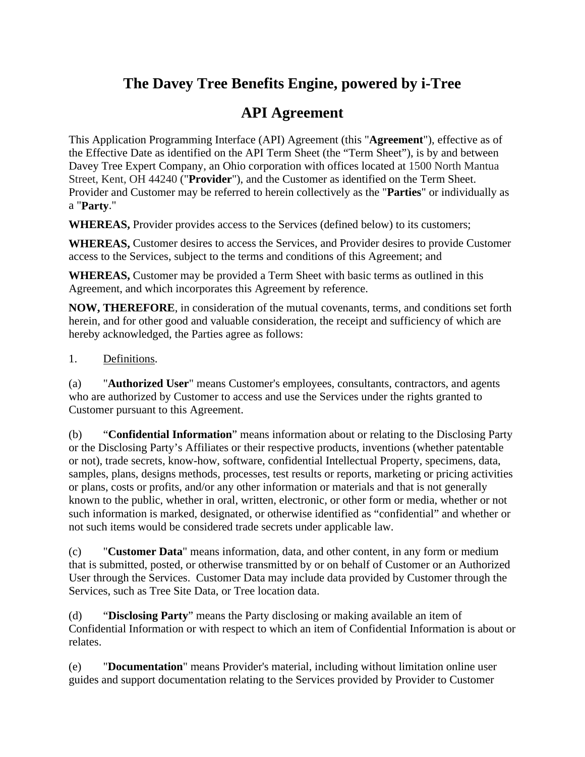# **The Davey Tree Benefits Engine, powered by i-Tree**

# **API Agreement**

This Application Programming Interface (API) Agreement (this "**Agreement**"), effective as of the Effective Date as identified on the API Term Sheet (the "Term Sheet"), is by and between Davey Tree Expert Company, an Ohio corporation with offices located at 1500 North Mantua Street, Kent, OH 44240 ("**Provider**"), and the Customer as identified on the Term Sheet. Provider and Customer may be referred to herein collectively as the "**Parties**" or individually as a "**Party**."

**WHEREAS,** Provider provides access to the Services (defined below) to its customers;

**WHEREAS,** Customer desires to access the Services, and Provider desires to provide Customer access to the Services, subject to the terms and conditions of this Agreement; and

**WHEREAS,** Customer may be provided a Term Sheet with basic terms as outlined in this Agreement, and which incorporates this Agreement by reference.

**NOW, THEREFORE**, in consideration of the mutual covenants, terms, and conditions set forth herein, and for other good and valuable consideration, the receipt and sufficiency of which are hereby acknowledged, the Parties agree as follows:

#### 1. Definitions.

(a) "**Authorized User**" means Customer's employees, consultants, contractors, and agents who are authorized by Customer to access and use the Services under the rights granted to Customer pursuant to this Agreement.

(b) "**Confidential Information**" means information about or relating to the Disclosing Party or the Disclosing Party's Affiliates or their respective products, inventions (whether patentable or not), trade secrets, know-how, software, confidential Intellectual Property, specimens, data, samples, plans, designs methods, processes, test results or reports, marketing or pricing activities or plans, costs or profits, and/or any other information or materials and that is not generally known to the public, whether in oral, written, electronic, or other form or media, whether or not such information is marked, designated, or otherwise identified as "confidential" and whether or not such items would be considered trade secrets under applicable law.

(c) "**Customer Data**" means information, data, and other content, in any form or medium that is submitted, posted, or otherwise transmitted by or on behalf of Customer or an Authorized User through the Services. Customer Data may include data provided by Customer through the Services, such as Tree Site Data, or Tree location data.

(d) "**Disclosing Party**" means the Party disclosing or making available an item of Confidential Information or with respect to which an item of Confidential Information is about or relates.

(e) "**Documentation**" means Provider's material, including without limitation online user guides and support documentation relating to the Services provided by Provider to Customer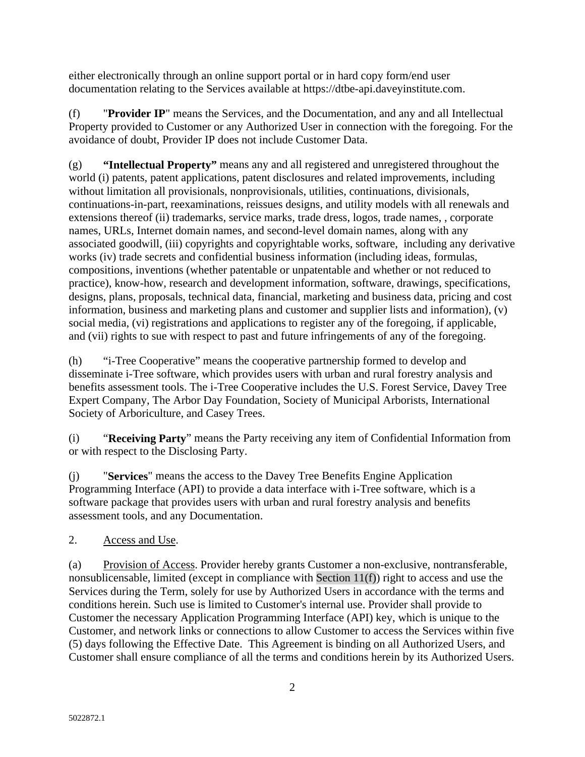either electronically through an online support portal or in hard copy form/end user documentation relating to the Services available at [https://dtbe-api.daveyinstitute.com.](https://dtbe-api.daveyinstitute.com/)

(f) "**Provider IP**" means the Services, and the Documentation, and any and all Intellectual Property provided to Customer or any Authorized User in connection with the foregoing. For the avoidance of doubt, Provider IP does not include Customer Data.

(g) **"Intellectual Property"** means any and all registered and unregistered throughout the world (i) patents, patent applications, patent disclosures and related improvements, including without limitation all provisionals, nonprovisionals, utilities, continuations, divisionals, continuations-in-part, reexaminations, reissues designs, and utility models with all renewals and extensions thereof (ii) trademarks, service marks, trade dress, logos, trade names, , corporate names, URLs, Internet domain names, and second-level domain names, along with any associated goodwill, (iii) copyrights and copyrightable works, software, including any derivative works (iv) trade secrets and confidential business information (including ideas, formulas, compositions, inventions (whether patentable or unpatentable and whether or not reduced to practice), know-how, research and development information, software, drawings, specifications, designs, plans, proposals, technical data, financial, marketing and business data, pricing and cost information, business and marketing plans and customer and supplier lists and information), (v) social media, (vi) registrations and applications to register any of the foregoing, if applicable, and (vii) rights to sue with respect to past and future infringements of any of the foregoing.

(h) "i-Tree Cooperative" means the cooperative partnership formed to develop and disseminate i-Tree software, which provides users with urban and rural forestry analysis and benefits assessment tools. The i-Tree Cooperative includes the U.S. Forest Service, Davey Tree Expert Company, The Arbor Day Foundation, Society of Municipal Arborists, International Society of Arboriculture, and Casey Trees.

(i) "**Receiving Party**" means the Party receiving any item of Confidential Information from or with respect to the Disclosing Party.

(j) "**Services**" means the access to the Davey Tree Benefits Engine Application Programming Interface (API) to provide a data interface with i-Tree software, which is a software package that provides users with urban and rural forestry analysis and benefits assessment tools, and any Documentation.

## 2. Access and Use.

(a) Provision of Access. Provider hereby grants Customer a non-exclusive, nontransferable, nonsublicensable, limited (except in compliance with [Section 11\(f\)\)](#page-10-0) right to access and use the Services during the Term, solely for use by Authorized Users in accordance with the terms and conditions herein. Such use is limited to Customer's internal use. Provider shall provide to Customer the necessary Application Programming Interface (API) key, which is unique to the Customer, and network links or connections to allow Customer to access the Services within five (5) days following the Effective Date. This Agreement is binding on all Authorized Users, and Customer shall ensure compliance of all the terms and conditions herein by its Authorized Users.

2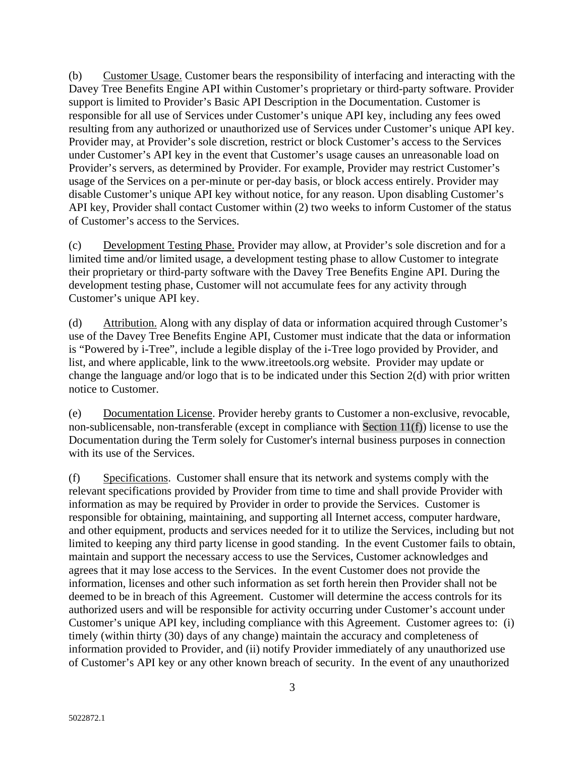(b) Customer Usage. Customer bears the responsibility of interfacing and interacting with the Davey Tree Benefits Engine API within Customer's proprietary or third-party software. Provider support is limited to Provider's Basic API Description in the Documentation. Customer is responsible for all use of Services under Customer's unique API key, including any fees owed resulting from any authorized or unauthorized use of Services under Customer's unique API key. Provider may, at Provider's sole discretion, restrict or block Customer's access to the Services under Customer's API key in the event that Customer's usage causes an unreasonable load on Provider's servers, as determined by Provider. For example, Provider may restrict Customer's usage of the Services on a per-minute or per-day basis, or block access entirely. Provider may disable Customer's unique API key without notice, for any reason. Upon disabling Customer's API key, Provider shall contact Customer within (2) two weeks to inform Customer of the status of Customer's access to the Services.

(c) Development Testing Phase. Provider may allow, at Provider's sole discretion and for a limited time and/or limited usage, a development testing phase to allow Customer to integrate their proprietary or third-party software with the Davey Tree Benefits Engine API. During the development testing phase, Customer will not accumulate fees for any activity through Customer's unique API key.

(d) Attribution. Along with any display of data or information acquired through Customer's use of the Davey Tree Benefits Engine API, Customer must indicate that the data or information is "Powered by i-Tree", include a legible display of the i-Tree logo provided by Provider, and list, and where applicable, link to the [www.itreetools.org](http://www.itreetools.org/) website. Provider may update or change the language and/or logo that is to be indicated under this Section 2(d) with prior written notice to Customer.

(e) Documentation License. Provider hereby grants to Customer a non-exclusive, revocable, non-sublicensable, non-transferable (except in compliance with [Section 11\(f\)\)](#page-10-0) license to use the Documentation during the Term solely for Customer's internal business purposes in connection with its use of the Services.

(f) Specifications. Customer shall ensure that its network and systems comply with the relevant specifications provided by Provider from time to time and shall provide Provider with information as may be required by Provider in order to provide the Services. Customer is responsible for obtaining, maintaining, and supporting all Internet access, computer hardware, and other equipment, products and services needed for it to utilize the Services, including but not limited to keeping any third party license in good standing. In the event Customer fails to obtain, maintain and support the necessary access to use the Services, Customer acknowledges and agrees that it may lose access to the Services. In the event Customer does not provide the information, licenses and other such information as set forth herein then Provider shall not be deemed to be in breach of this Agreement. Customer will determine the access controls for its authorized users and will be responsible for activity occurring under Customer's account under Customer's unique API key, including compliance with this Agreement. Customer agrees to: (i) timely (within thirty (30) days of any change) maintain the accuracy and completeness of information provided to Provider, and (ii) notify Provider immediately of any unauthorized use of Customer's API key or any other known breach of security. In the event of any unauthorized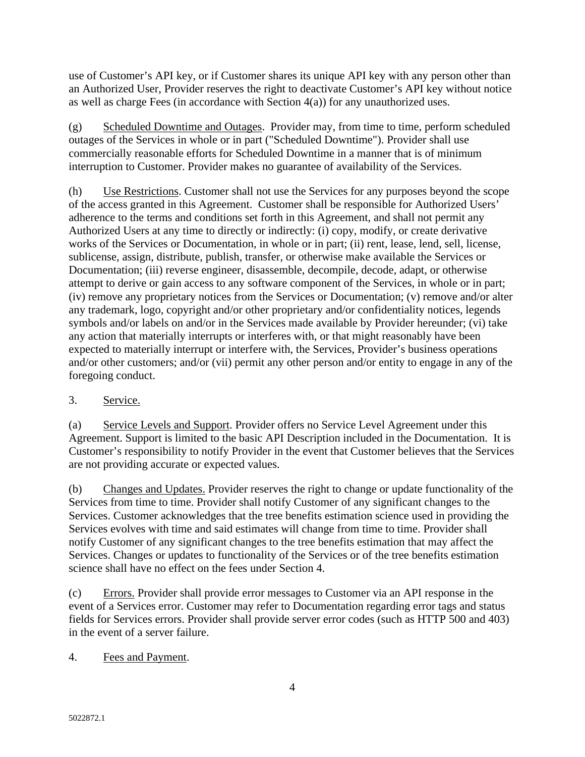use of Customer's API key, or if Customer shares its unique API key with any person other than an Authorized User, Provider reserves the right to deactivate Customer's API key without notice as well as charge Fees (in accordance with Section 4(a)) for any unauthorized uses.

(g) Scheduled Downtime and Outages. Provider may, from time to time, perform scheduled outages of the Services in whole or in part ("Scheduled Downtime"). Provider shall use commercially reasonable efforts for Scheduled Downtime in a manner that is of minimum interruption to Customer. Provider makes no guarantee of availability of the Services.

(h) Use Restrictions. Customer shall not use the Services for any purposes beyond the scope of the access granted in this Agreement. Customer shall be responsible for Authorized Users' adherence to the terms and conditions set forth in this Agreement, and shall not permit any Authorized Users at any time to directly or indirectly: (i) copy, modify, or create derivative works of the Services or Documentation, in whole or in part; (ii) rent, lease, lend, sell, license, sublicense, assign, distribute, publish, transfer, or otherwise make available the Services or Documentation; (iii) reverse engineer, disassemble, decompile, decode, adapt, or otherwise attempt to derive or gain access to any software component of the Services, in whole or in part; (iv) remove any proprietary notices from the Services or Documentation; (v) remove and/or alter any trademark, logo, copyright and/or other proprietary and/or confidentiality notices, legends symbols and/or labels on and/or in the Services made available by Provider hereunder; (vi) take any action that materially interrupts or interferes with, or that might reasonably have been expected to materially interrupt or interfere with, the Services, Provider's business operations and/or other customers; and/or (vii) permit any other person and/or entity to engage in any of the foregoing conduct.

## 3. Service.

(a) Service Levels and Support. Provider offers no Service Level Agreement under this Agreement. Support is limited to the basic API Description included in the Documentation. It is Customer's responsibility to notify Provider in the event that Customer believes that the Services are not providing accurate or expected values.

(b) Changes and Updates. Provider reserves the right to change or update functionality of the Services from time to time. Provider shall notify Customer of any significant changes to the Services. Customer acknowledges that the tree benefits estimation science used in providing the Services evolves with time and said estimates will change from time to time. Provider shall notify Customer of any significant changes to the tree benefits estimation that may affect the Services. Changes or updates to functionality of the Services or of the tree benefits estimation science shall have no effect on the fees under Section 4.

(c) Errors. Provider shall provide error messages to Customer via an API response in the event of a Services error. Customer may refer to Documentation regarding error tags and status fields for Services errors. Provider shall provide server error codes (such as HTTP 500 and 403) in the event of a server failure.

4. Fees and Payment.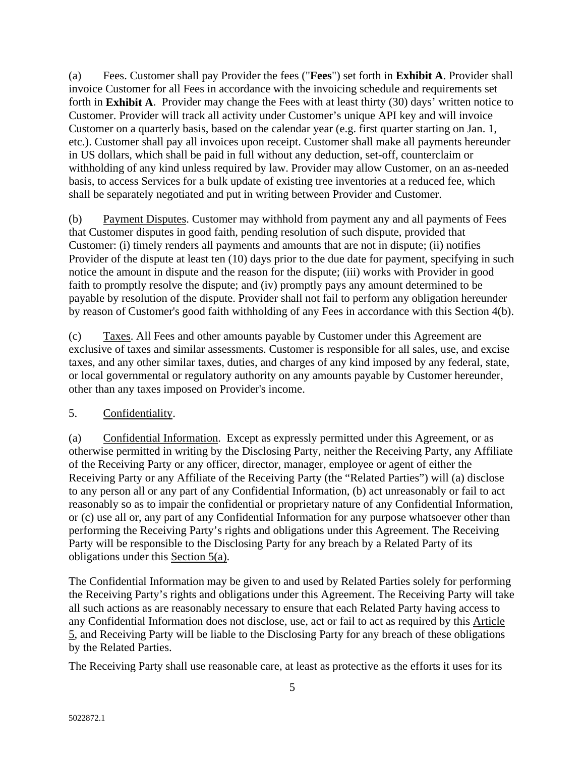(a) Fees. Customer shall pay Provider the fees ("**Fees**") set forth in **Exhibit A**. Provider shall invoice Customer for all Fees in accordance with the invoicing schedule and requirements set forth in **Exhibit A**. Provider may change the Fees with at least thirty (30) days' written notice to Customer. Provider will track all activity under Customer's unique API key and will invoice Customer on a quarterly basis, based on the calendar year (e.g. first quarter starting on Jan. 1, etc.). Customer shall pay all invoices upon receipt. Customer shall make all payments hereunder in US dollars, which shall be paid in full without any deduction, set-off, counterclaim or withholding of any kind unless required by law. Provider may allow Customer, on an as-needed basis, to access Services for a bulk update of existing tree inventories at a reduced fee, which shall be separately negotiated and put in writing between Provider and Customer.

(b) Payment Disputes. Customer may withhold from payment any and all payments of Fees that Customer disputes in good faith, pending resolution of such dispute, provided that Customer: (i) timely renders all payments and amounts that are not in dispute; (ii) notifies Provider of the dispute at least ten (10) days prior to the due date for payment, specifying in such notice the amount in dispute and the reason for the dispute; (iii) works with Provider in good faith to promptly resolve the dispute; and (iv) promptly pays any amount determined to be payable by resolution of the dispute. Provider shall not fail to perform any obligation hereunder by reason of Customer's good faith withholding of any Fees in accordance with this Section 4(b).

(c) Taxes. All Fees and other amounts payable by Customer under this Agreement are exclusive of taxes and similar assessments. Customer is responsible for all sales, use, and excise taxes, and any other similar taxes, duties, and charges of any kind imposed by any federal, state, or local governmental or regulatory authority on any amounts payable by Customer hereunder, other than any taxes imposed on Provider's income.

#### 5. Confidentiality.

(a) Confidential Information. Except as expressly permitted under this Agreement, or as otherwise permitted in writing by the Disclosing Party, neither the Receiving Party, any Affiliate of the Receiving Party or any officer, director, manager, employee or agent of either the Receiving Party or any Affiliate of the Receiving Party (the "Related Parties") will (a) disclose to any person all or any part of any Confidential Information, (b) act unreasonably or fail to act reasonably so as to impair the confidential or proprietary nature of any Confidential Information, or (c) use all or, any part of any Confidential Information for any purpose whatsoever other than performing the Receiving Party's rights and obligations under this Agreement. The Receiving Party will be responsible to the Disclosing Party for any breach by a Related Party of its obligations under this Section 5(a).

The Confidential Information may be given to and used by Related Parties solely for performing the Receiving Party's rights and obligations under this Agreement. The Receiving Party will take all such actions as are reasonably necessary to ensure that each Related Party having access to any Confidential Information does not disclose, use, act or fail to act as required by this Article 5, and Receiving Party will be liable to the Disclosing Party for any breach of these obligations by the Related Parties.

The Receiving Party shall use reasonable care, at least as protective as the efforts it uses for its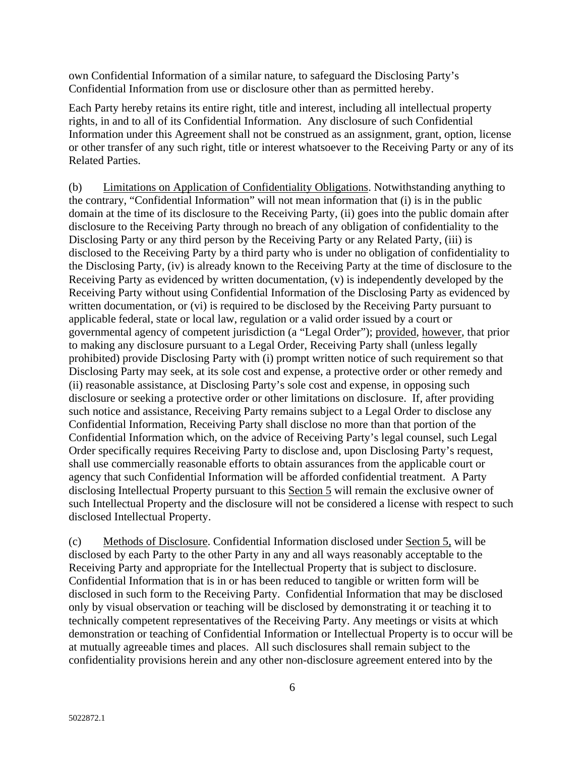own Confidential Information of a similar nature, to safeguard the Disclosing Party's Confidential Information from use or disclosure other than as permitted hereby.

Each Party hereby retains its entire right, title and interest, including all intellectual property rights, in and to all of its Confidential Information. Any disclosure of such Confidential Information under this Agreement shall not be construed as an assignment, grant, option, license or other transfer of any such right, title or interest whatsoever to the Receiving Party or any of its Related Parties.

(b) Limitations on Application of Confidentiality Obligations. Notwithstanding anything to the contrary, "Confidential Information" will not mean information that (i) is in the public domain at the time of its disclosure to the Receiving Party, (ii) goes into the public domain after disclosure to the Receiving Party through no breach of any obligation of confidentiality to the Disclosing Party or any third person by the Receiving Party or any Related Party, (iii) is disclosed to the Receiving Party by a third party who is under no obligation of confidentiality to the Disclosing Party, (iv) is already known to the Receiving Party at the time of disclosure to the Receiving Party as evidenced by written documentation, (v) is independently developed by the Receiving Party without using Confidential Information of the Disclosing Party as evidenced by written documentation, or (vi) is required to be disclosed by the Receiving Party pursuant to applicable federal, state or local law, regulation or a valid order issued by a court or governmental agency of competent jurisdiction (a "Legal Order"); provided, however, that prior to making any disclosure pursuant to a Legal Order, Receiving Party shall (unless legally prohibited) provide Disclosing Party with (i) prompt written notice of such requirement so that Disclosing Party may seek, at its sole cost and expense, a protective order or other remedy and (ii) reasonable assistance, at Disclosing Party's sole cost and expense, in opposing such disclosure or seeking a protective order or other limitations on disclosure. If, after providing such notice and assistance, Receiving Party remains subject to a Legal Order to disclose any Confidential Information, Receiving Party shall disclose no more than that portion of the Confidential Information which, on the advice of Receiving Party's legal counsel, such Legal Order specifically requires Receiving Party to disclose and, upon Disclosing Party's request, shall use commercially reasonable efforts to obtain assurances from the applicable court or agency that such Confidential Information will be afforded confidential treatment. A Party disclosing Intellectual Property pursuant to this Section 5 will remain the exclusive owner of such Intellectual Property and the disclosure will not be considered a license with respect to such disclosed Intellectual Property.

(c) Methods of Disclosure. Confidential Information disclosed under Section 5, will be disclosed by each Party to the other Party in any and all ways reasonably acceptable to the Receiving Party and appropriate for the Intellectual Property that is subject to disclosure. Confidential Information that is in or has been reduced to tangible or written form will be disclosed in such form to the Receiving Party. Confidential Information that may be disclosed only by visual observation or teaching will be disclosed by demonstrating it or teaching it to technically competent representatives of the Receiving Party. Any meetings or visits at which demonstration or teaching of Confidential Information or Intellectual Property is to occur will be at mutually agreeable times and places. All such disclosures shall remain subject to the confidentiality provisions herein and any other non-disclosure agreement entered into by the

6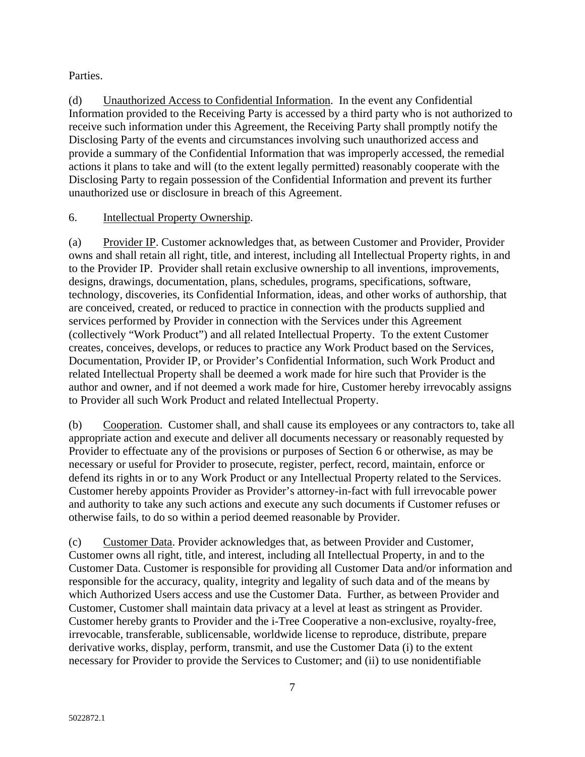#### Parties.

(d) Unauthorized Access to Confidential Information. In the event any Confidential Information provided to the Receiving Party is accessed by a third party who is not authorized to receive such information under this Agreement, the Receiving Party shall promptly notify the Disclosing Party of the events and circumstances involving such unauthorized access and provide a summary of the Confidential Information that was improperly accessed, the remedial actions it plans to take and will (to the extent legally permitted) reasonably cooperate with the Disclosing Party to regain possession of the Confidential Information and prevent its further unauthorized use or disclosure in breach of this Agreement.

#### 6. Intellectual Property Ownership.

(a) Provider IP. Customer acknowledges that, as between Customer and Provider, Provider owns and shall retain all right, title, and interest, including all Intellectual Property rights, in and to the Provider IP. Provider shall retain exclusive ownership to all inventions, improvements, designs, drawings, documentation, plans, schedules, programs, specifications, software, technology, discoveries, its Confidential Information, ideas, and other works of authorship, that are conceived, created, or reduced to practice in connection with the products supplied and services performed by Provider in connection with the Services under this Agreement (collectively "Work Product") and all related Intellectual Property. To the extent Customer creates, conceives, develops, or reduces to practice any Work Product based on the Services, Documentation, Provider IP, or Provider's Confidential Information, such Work Product and related Intellectual Property shall be deemed a work made for hire such that Provider is the author and owner, and if not deemed a work made for hire, Customer hereby irrevocably assigns to Provider all such Work Product and related Intellectual Property.

(b) Cooperation. Customer shall, and shall cause its employees or any contractors to, take all appropriate action and execute and deliver all documents necessary or reasonably requested by Provider to effectuate any of the provisions or purposes of Section 6 or otherwise, as may be necessary or useful for Provider to prosecute, register, perfect, record, maintain, enforce or defend its rights in or to any Work Product or any Intellectual Property related to the Services. Customer hereby appoints Provider as Provider's attorney-in-fact with full irrevocable power and authority to take any such actions and execute any such documents if Customer refuses or otherwise fails, to do so within a period deemed reasonable by Provider.

(c) Customer Data. Provider acknowledges that, as between Provider and Customer, Customer owns all right, title, and interest, including all Intellectual Property, in and to the Customer Data. Customer is responsible for providing all Customer Data and/or information and responsible for the accuracy, quality, integrity and legality of such data and of the means by which Authorized Users access and use the Customer Data. Further, as between Provider and Customer, Customer shall maintain data privacy at a level at least as stringent as Provider. Customer hereby grants to Provider and the i-Tree Cooperative a non-exclusive, royalty-free, irrevocable, transferable, sublicensable, worldwide license to reproduce, distribute, prepare derivative works, display, perform, transmit, and use the Customer Data (i) to the extent necessary for Provider to provide the Services to Customer; and (ii) to use nonidentifiable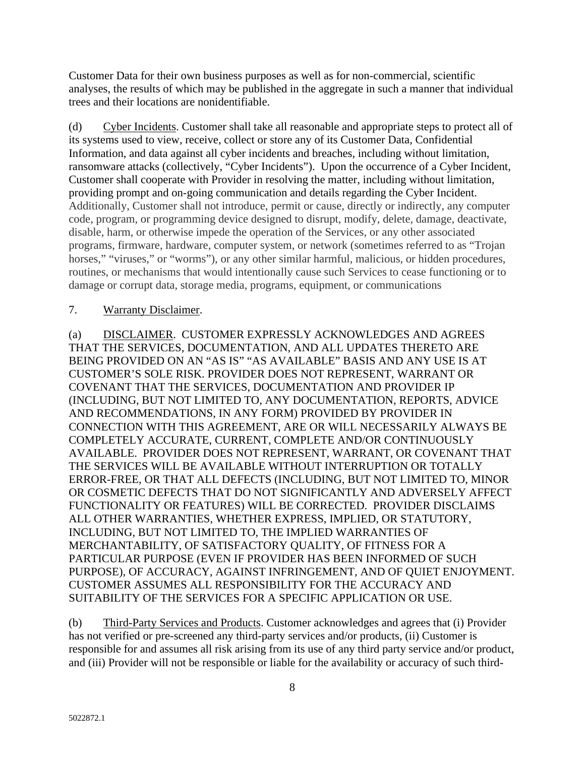Customer Data for their own business purposes as well as for non-commercial, scientific analyses, the results of which may be published in the aggregate in such a manner that individual trees and their locations are nonidentifiable.

(d) Cyber Incidents. Customer shall take all reasonable and appropriate steps to protect all of its systems used to view, receive, collect or store any of its Customer Data, Confidential Information, and data against all cyber incidents and breaches, including without limitation, ransomware attacks (collectively, "Cyber Incidents"). Upon the occurrence of a Cyber Incident, Customer shall cooperate with Provider in resolving the matter, including without limitation, providing prompt and on-going communication and details regarding the Cyber Incident. Additionally, Customer shall not introduce, permit or cause, directly or indirectly, any computer code, program, or programming device designed to disrupt, modify, delete, damage, deactivate, disable, harm, or otherwise impede the operation of the Services, or any other associated programs, firmware, hardware, computer system, or network (sometimes referred to as "Trojan horses," "viruses," or "worms"), or any other similar harmful, malicious, or hidden procedures, routines, or mechanisms that would intentionally cause such Services to cease functioning or to damage or corrupt data, storage media, programs, equipment, or communications

#### 7. Warranty Disclaimer.

(a) DISCLAIMER. CUSTOMER EXPRESSLY ACKNOWLEDGES AND AGREES THAT THE SERVICES, DOCUMENTATION, AND ALL UPDATES THERETO ARE BEING PROVIDED ON AN "AS IS" "AS AVAILABLE" BASIS AND ANY USE IS AT CUSTOMER'S SOLE RISK. PROVIDER DOES NOT REPRESENT, WARRANT OR COVENANT THAT THE SERVICES, DOCUMENTATION AND PROVIDER IP (INCLUDING, BUT NOT LIMITED TO, ANY DOCUMENTATION, REPORTS, ADVICE AND RECOMMENDATIONS, IN ANY FORM) PROVIDED BY PROVIDER IN CONNECTION WITH THIS AGREEMENT, ARE OR WILL NECESSARILY ALWAYS BE COMPLETELY ACCURATE, CURRENT, COMPLETE AND/OR CONTINUOUSLY AVAILABLE. PROVIDER DOES NOT REPRESENT, WARRANT, OR COVENANT THAT THE SERVICES WILL BE AVAILABLE WITHOUT INTERRUPTION OR TOTALLY ERROR-FREE, OR THAT ALL DEFECTS (INCLUDING, BUT NOT LIMITED TO, MINOR OR COSMETIC DEFECTS THAT DO NOT SIGNIFICANTLY AND ADVERSELY AFFECT FUNCTIONALITY OR FEATURES) WILL BE CORRECTED. PROVIDER DISCLAIMS ALL OTHER WARRANTIES, WHETHER EXPRESS, IMPLIED, OR STATUTORY, INCLUDING, BUT NOT LIMITED TO, THE IMPLIED WARRANTIES OF MERCHANTABILITY, OF SATISFACTORY QUALITY, OF FITNESS FOR A PARTICULAR PURPOSE (EVEN IF PROVIDER HAS BEEN INFORMED OF SUCH PURPOSE), OF ACCURACY, AGAINST INFRINGEMENT, AND OF QUIET ENJOYMENT. CUSTOMER ASSUMES ALL RESPONSIBILITY FOR THE ACCURACY AND SUITABILITY OF THE SERVICES FOR A SPECIFIC APPLICATION OR USE.

(b) Third-Party Services and Products. Customer acknowledges and agrees that (i) Provider has not verified or pre-screened any third-party services and/or products, (ii) Customer is responsible for and assumes all risk arising from its use of any third party service and/or product, and (iii) Provider will not be responsible or liable for the availability or accuracy of such third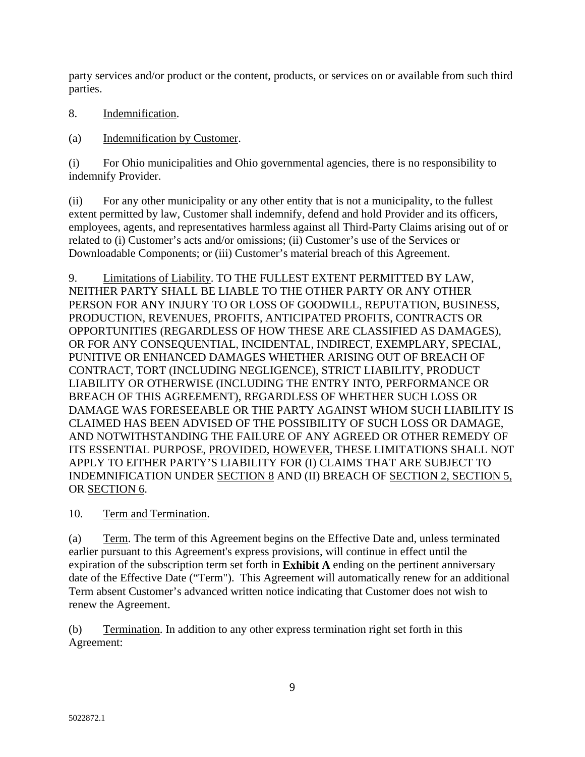party services and/or product or the content, products, or services on or available from such third parties.

- 8. Indemnification.
- (a) Indemnification by Customer.

(i) For Ohio municipalities and Ohio governmental agencies, there is no responsibility to indemnify Provider.

(ii) For any other municipality or any other entity that is not a municipality, to the fullest extent permitted by law, Customer shall indemnify, defend and hold Provider and its officers, employees, agents, and representatives harmless against all Third-Party Claims arising out of or related to (i) Customer's acts and/or omissions; (ii) Customer's use of the Services or Downloadable Components; or (iii) Customer's material breach of this Agreement.

9. Limitations of Liability. TO THE FULLEST EXTENT PERMITTED BY LAW, NEITHER PARTY SHALL BE LIABLE TO THE OTHER PARTY OR ANY OTHER PERSON FOR ANY INJURY TO OR LOSS OF GOODWILL, REPUTATION, BUSINESS, PRODUCTION, REVENUES, PROFITS, ANTICIPATED PROFITS, CONTRACTS OR OPPORTUNITIES (REGARDLESS OF HOW THESE ARE CLASSIFIED AS DAMAGES), OR FOR ANY CONSEQUENTIAL, INCIDENTAL, INDIRECT, EXEMPLARY, SPECIAL, PUNITIVE OR ENHANCED DAMAGES WHETHER ARISING OUT OF BREACH OF CONTRACT, TORT (INCLUDING NEGLIGENCE), STRICT LIABILITY, PRODUCT LIABILITY OR OTHERWISE (INCLUDING THE ENTRY INTO, PERFORMANCE OR BREACH OF THIS AGREEMENT), REGARDLESS OF WHETHER SUCH LOSS OR DAMAGE WAS FORESEEABLE OR THE PARTY AGAINST WHOM SUCH LIABILITY IS CLAIMED HAS BEEN ADVISED OF THE POSSIBILITY OF SUCH LOSS OR DAMAGE, AND NOTWITHSTANDING THE FAILURE OF ANY AGREED OR OTHER REMEDY OF ITS ESSENTIAL PURPOSE, PROVIDED, HOWEVER, THESE LIMITATIONS SHALL NOT APPLY TO EITHER PARTY'S LIABILITY FOR (I) CLAIMS THAT ARE SUBJECT TO INDEMNIFICATION UNDER SECTION 8 AND (II) BREACH OF SECTION 2, SECTION 5, OR SECTION 6.

10. Term and Termination.

(a) Term. The term of this Agreement begins on the Effective Date and, unless terminated earlier pursuant to this Agreement's express provisions, will continue in effect until the expiration of the subscription term set forth in **Exhibit A** ending on the pertinent anniversary date of the Effective Date ("Term"). This Agreement will automatically renew for an additional Term absent Customer's advanced written notice indicating that Customer does not wish to renew the Agreement.

(b) Termination. In addition to any other express termination right set forth in this Agreement: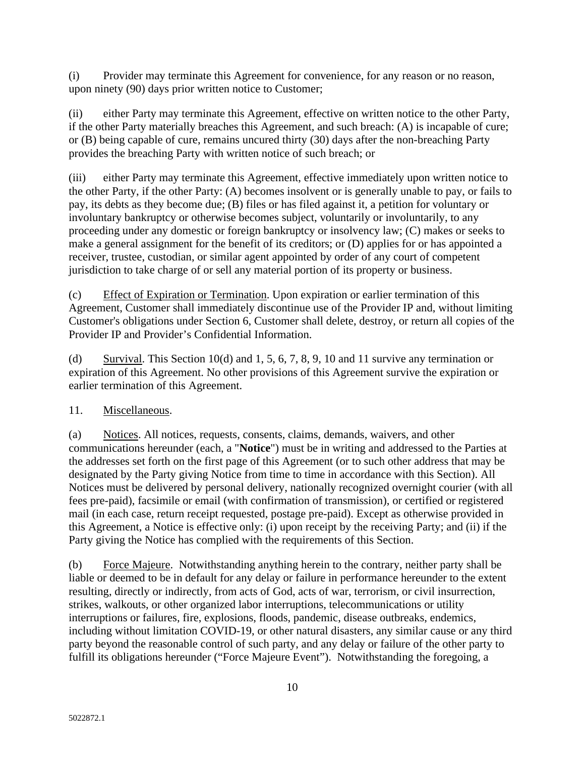(i) Provider may terminate this Agreement for convenience, for any reason or no reason, upon ninety (90) days prior written notice to Customer;

(ii) either Party may terminate this Agreement, effective on written notice to the other Party, if the other Party materially breaches this Agreement, and such breach: (A) is incapable of cure; or (B) being capable of cure, remains uncured thirty (30) days after the non-breaching Party provides the breaching Party with written notice of such breach; or

(iii) either Party may terminate this Agreement, effective immediately upon written notice to the other Party, if the other Party: (A) becomes insolvent or is generally unable to pay, or fails to pay, its debts as they become due; (B) files or has filed against it, a petition for voluntary or involuntary bankruptcy or otherwise becomes subject, voluntarily or involuntarily, to any proceeding under any domestic or foreign bankruptcy or insolvency law; (C) makes or seeks to make a general assignment for the benefit of its creditors; or (D) applies for or has appointed a receiver, trustee, custodian, or similar agent appointed by order of any court of competent jurisdiction to take charge of or sell any material portion of its property or business.

(c) Effect of Expiration or Termination. Upon expiration or earlier termination of this Agreement, Customer shall immediately discontinue use of the Provider IP and, without limiting Customer's obligations under Section 6, Customer shall delete, destroy, or return all copies of the Provider IP and Provider's Confidential Information.

(d) Survival. This Section 10(d) and 1, 5, 6, 7, 8, 9, 10 and 11 survive any termination or expiration of this Agreement. No other provisions of this Agreement survive the expiration or earlier termination of this Agreement.

#### 11. Miscellaneous.

(a) Notices. All notices, requests, consents, claims, demands, waivers, and other communications hereunder (each, a "**Notice**") must be in writing and addressed to the Parties at the addresses set forth on the first page of this Agreement (or to such other address that may be designated by the Party giving Notice from time to time in accordance with this Section). All Notices must be delivered by personal delivery, nationally recognized overnight courier (with all fees pre-paid), facsimile or email (with confirmation of transmission), or certified or registered mail (in each case, return receipt requested, postage pre-paid). Except as otherwise provided in this Agreement, a Notice is effective only: (i) upon receipt by the receiving Party; and (ii) if the Party giving the Notice has complied with the requirements of this Section.

(b) Force Majeure. Notwithstanding anything herein to the contrary, neither party shall be liable or deemed to be in default for any delay or failure in performance hereunder to the extent resulting, directly or indirectly, from acts of God, acts of war, terrorism, or civil insurrection, strikes, walkouts, or other organized labor interruptions, telecommunications or utility interruptions or failures, fire, explosions, floods, pandemic, disease outbreaks, endemics, including without limitation COVID-19, or other natural disasters, any similar cause or any third party beyond the reasonable control of such party, and any delay or failure of the other party to fulfill its obligations hereunder ("Force Majeure Event"). Notwithstanding the foregoing, a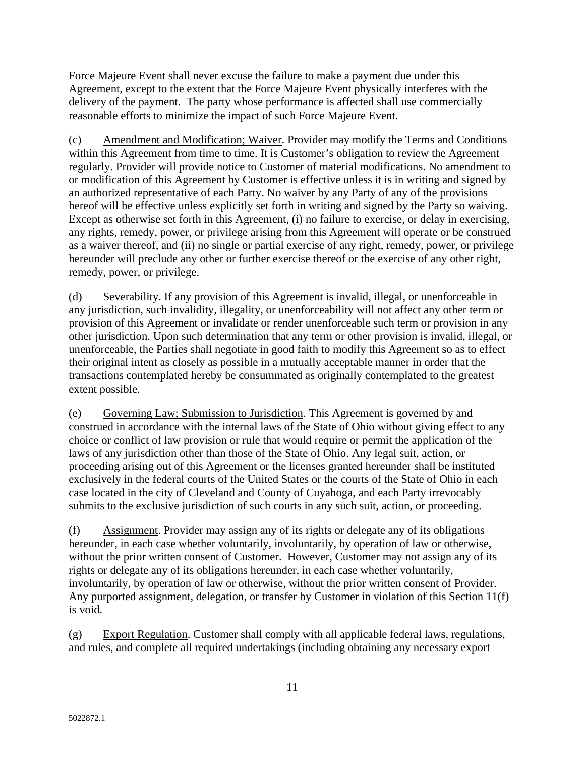Force Majeure Event shall never excuse the failure to make a payment due under this Agreement, except to the extent that the Force Majeure Event physically interferes with the delivery of the payment. The party whose performance is affected shall use commercially reasonable efforts to minimize the impact of such Force Majeure Event.

(c) Amendment and Modification; Waiver. Provider may modify the Terms and Conditions within this Agreement from time to time. It is Customer's obligation to review the Agreement regularly. Provider will provide notice to Customer of material modifications. No amendment to or modification of this Agreement by Customer is effective unless it is in writing and signed by an authorized representative of each Party. No waiver by any Party of any of the provisions hereof will be effective unless explicitly set forth in writing and signed by the Party so waiving. Except as otherwise set forth in this Agreement, (i) no failure to exercise, or delay in exercising, any rights, remedy, power, or privilege arising from this Agreement will operate or be construed as a waiver thereof, and (ii) no single or partial exercise of any right, remedy, power, or privilege hereunder will preclude any other or further exercise thereof or the exercise of any other right, remedy, power, or privilege.

(d) Severability. If any provision of this Agreement is invalid, illegal, or unenforceable in any jurisdiction, such invalidity, illegality, or unenforceability will not affect any other term or provision of this Agreement or invalidate or render unenforceable such term or provision in any other jurisdiction. Upon such determination that any term or other provision is invalid, illegal, or unenforceable, the Parties shall negotiate in good faith to modify this Agreement so as to effect their original intent as closely as possible in a mutually acceptable manner in order that the transactions contemplated hereby be consummated as originally contemplated to the greatest extent possible.

(e) Governing Law; Submission to Jurisdiction. This Agreement is governed by and construed in accordance with the internal laws of the State of Ohio without giving effect to any choice or conflict of law provision or rule that would require or permit the application of the laws of any jurisdiction other than those of the State of Ohio. Any legal suit, action, or proceeding arising out of this Agreement or the licenses granted hereunder shall be instituted exclusively in the federal courts of the United States or the courts of the State of Ohio in each case located in the city of Cleveland and County of Cuyahoga, and each Party irrevocably submits to the exclusive jurisdiction of such courts in any such suit, action, or proceeding.

<span id="page-10-0"></span>(f) Assignment. Provider may assign any of its rights or delegate any of its obligations hereunder, in each case whether voluntarily, involuntarily, by operation of law or otherwise, without the prior written consent of Customer. However, Customer may not assign any of its rights or delegate any of its obligations hereunder, in each case whether voluntarily, involuntarily, by operation of law or otherwise, without the prior written consent of Provider. Any purported assignment, delegation, or transfer by Customer in violation of this Section 11(f) is void.

(g) Export Regulation. Customer shall comply with all applicable federal laws, regulations, and rules, and complete all required undertakings (including obtaining any necessary export